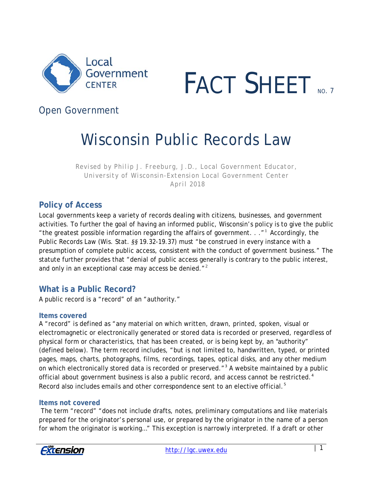



## *Open Government*

# Wisconsin Public Records Law

*Revised by Philip J. Freeburg, J.D., Local Government Educator, University of Wisconsin-Extension Local Government Center April 2018*

## **Policy of Access**

Local governments keep a variety of records dealing with citizens, businesses, and government activities. To further the goal of having an informed public, Wisconsin's policy is to give the public "the greatest possible information regarding the affairs of government.  $\cdot$ ..." Accordingly, the Public Records Law (Wis. Stat. *§§* 19.32-19.37) must "be construed in every instance with a presumption of complete public access, consistent with the conduct of government business." The statute further provides that "denial of public access generally is contrary to the public interest, and only in an exceptional case may access be denied.<sup>"2</sup>

## **What is a Public Record?**

A public record is a "record" of an "authority."

#### **Items covered**

A "record" is defined as "any material on which written, drawn, printed, spoken, visual or electromagnetic or electronically generated or stored data is recorded or preserved, regardless of physical form or characteristics, that has been created, or is being kept by, an "authority" (defined below). The term record includes, "but is not limited to, handwritten, typed, or printed pages, maps, charts, photographs, films, recordings, tapes, optical disks, and any other medium on which electronically stored data is recorded or preserved."<sup>[3](#page-16-1)</sup> A website maintained by a public official about government business is also a public record, and access cannot be restricted.<sup>[4](#page-16-2)</sup> Record also includes emails and other correspondence sent to an elective official.<sup>[5](#page-16-3)</sup>

#### **Items not covered**

The term "record" "does not include drafts, notes, preliminary computations and like materials prepared for the originator's personal use, or prepared by the originator in the name of a person for whom the originator is working…" This exception is narrowly interpreted. If a draft or other

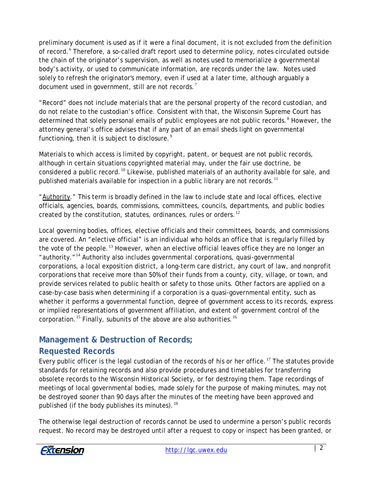preliminary document is used as if it were a final document, it is not excluded from the definition of record.<sup>[6](#page-16-4)</sup> Therefore, a so-called draft report used to determine policy, notes circulated outside the chain of the originator's supervision, as well as notes used to memorialize a governmental body's activity, or used to communicate information, are records under the law. Notes used solely to refresh the originator's memory, even if used at a later time, although arguably a document used in government, still are not records.<sup>[7](#page-16-5)</sup>

"Record" does not include materials that are the personal property of the record custodian, and do not relate to the custodian's office. Consistent with that, the Wisconsin Supreme Court has determined that solely personal emails of public employees are not public records.<sup>[8](#page-16-6)</sup> However, the attorney general's office advises that if any part of an email sheds light on governmental functioning, then it is subject to disclosure. $^9$  $^9$ 

Materials to which access is limited by copyright, patent, or bequest are not public records, although in certain situations copyrighted material may, under the fair use doctrine, be considered a public record.<sup>[10](#page-16-8)</sup> Likewise, published materials of an authority available for sale, and published materials available for inspection in a public library are not records.<sup>[11](#page-16-9)</sup>

"Authority." This term is broadly defined in the law to include state and local offices, elective officials, agencies, boards, commissions, committees, councils, departments, and public bodies created by the constitution, statutes, ordinances, rules or orders.<sup>[12](#page-16-10)</sup>

Local governing bodies, offices, elective officials and their committees, boards, and commissions are covered. An "elective official" is an individual who holds an office that is regularly filled by the vote of the people.<sup>[13](#page-16-11)</sup> However, when an elective official leaves office they are no longer an "authority."[14](#page-16-12) Authority also includes governmental corporations, quasi-governmental corporations, a local exposition district, a long-term care district, any court of law, and nonprofit corporations that receive more than 50% of their funds from a county, city, village, or town, and provide services related to public health or safety to those units. Other factors are applied on a case-by-case basis when determining if a corporation is a quasi-governmental entity, such as whether it performs a governmental function, degree of government access to its records, express or implied representations of government affiliation, and extent of government control of the corporation.  $^{\text{15}}$  $^{\text{15}}$  $^{\text{15}}$  Finally, subunits of the above are also authorities.  $^{\text{16}}$  $^{\text{16}}$  $^{\text{16}}$ 

## **Management & Destruction of Records;**

## **Requested Records**

Every public officer is the legal custodian of the records of his or her office.<sup>[17](#page-16-15)</sup> The statutes provide standards for retaining records and also provide procedures and timetables for transferring obsolete records to the Wisconsin Historical Society, or for destroying them. Tape recordings of meetings of local governmental bodies, made solely for the purpose of making minutes, may not be destroyed sooner than 90 days after the minutes of the meeting have been approved and published (if the body publishes its minutes).  $18$ 

The otherwise legal destruction of records cannot be used to undermine a person's public records request. No record may be destroyed until after a request to copy or inspect has been granted, or

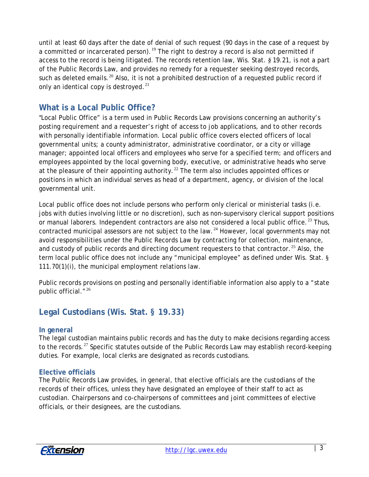until at least 60 days after the date of denial of such request (90 days in the case of a request by a committed or incarcerated person).<sup>[19](#page-16-17)</sup> The right to destroy a record is also not permitted if access to the record is being litigated. The records retention law, Wis. Stat. *§* 19.21, is not a part of the Public Records Law, and provides no remedy for a requester seeking destroyed records, such as deleted emails.<sup>[20](#page-16-18)</sup> Also, it is not a prohibited destruction of a requested public record if only an identical copy is destroyed. $^{21}$  $^{21}$  $^{21}$ 

## **What is a Local Public Office?**

"Local Public Office" is a term used in Public Records Law provisions concerning an authority's posting requirement and a requester's right of access to job applications, and to other records with personally identifiable information. Local public office covers elected officers of local governmental units; a county administrator, administrative coordinator, or a city or village manager; appointed local officers and employees who serve for a specified term; and officers and employees appointed by the local governing body, executive, or administrative heads who serve at the pleasure of their appointing authority.<sup>[22](#page-16-20)</sup> The term also includes appointed offices or positions in which an individual serves as head of a department, agency, or division of the local governmental unit.

Local public office does not include persons who perform only clerical or ministerial tasks (i.e. jobs with duties involving little or no discretion), such as non-supervisory clerical support positions or manual laborers. Independent contractors are also not considered a local public office.<sup>[23](#page-16-21)</sup> Thus, contracted municipal assessors are not subject to the law.<sup>[24](#page-16-22)</sup> However, local governments may not avoid responsibilities under the Public Records Law by contracting for collection, maintenance, and custody of public records and directing document requesters to that contractor.<sup>[25](#page-16-23)</sup> Also, the term local public office does not include any "municipal employee" as defined under Wis. Stat. § 111.70(1)(i), the municipal employment relations law.

Public records provisions on posting and personally identifiable information also apply to a "state public official."<sup>[26](#page-16-24)</sup>

## **Legal Custodians (Wis. Stat.** *§* **19.33)**

#### **In general**

The legal custodian maintains public records and has the duty to make decisions regarding access to the records.<sup>[27](#page-16-25)</sup> Specific statutes outside of the Public Records Law may establish record-keeping duties. For example, local clerks are designated as records custodians.

#### **Elective officials**

The Public Records Law provides, in general, that elective officials are the custodians of the records of their offices, unless they have designated an employee of their staff to act as custodian. Chairpersons and co-chairpersons of committees and joint committees of elective officials, or their designees, are the custodians.

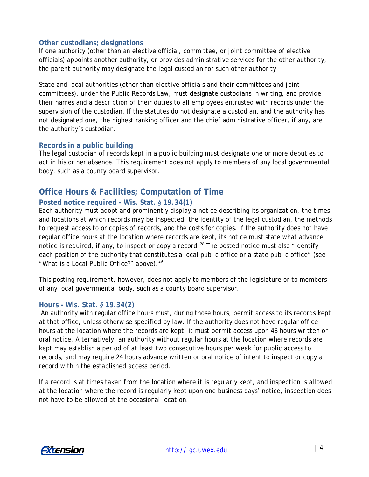#### **Other custodians; designations**

If one authority (other than an elective official, committee, or joint committee of elective officials) appoints another authority, or provides administrative services for the other authority, the parent authority may designate the legal custodian for such other authority.

State and local authorities (other than elective officials and their committees and joint committees), under the Public Records Law, must designate custodians in writing, and provide their names and a description of their duties to all employees entrusted with records under the supervision of the custodian. If the statutes do not designate a custodian, and the authority has not designated one, the highest ranking officer and the chief administrative officer, if any, are the authority's custodian.

#### **Records in a public building**

The legal custodian of records kept in a public building must designate one or more deputies to act in his or her absence. This requirement does not apply to members of any local governmental body, such as a county board supervisor.

## **Office Hours & Facilities; Computation of Time**

#### **Posted notice required - Wis. Stat.** *§* **19.34(1)**

Each authority must adopt and prominently display a notice describing its organization, the times and locations at which records may be inspected, the identity of the legal custodian, the methods to request access to or copies of records, and the costs for copies. If the authority does not have regular office hours at the location where records are kept, its notice must state what advance notice is required, if any, to inspect or copy a record.<sup>[28](#page-16-26)</sup> The posted notice must also "identify each position of the authority that constitutes a local public office or a state public office" (see "What is a Local Public Office?" above). $29$ 

This posting requirement, however, does not apply to members of the legislature or to members of any local governmental body, such as a county board supervisor.

#### **Hours - Wis. Stat.** *§* **19.34(2)**

An authority with regular office hours must, during those hours, permit access to its records kept at that office, unless otherwise specified by law. If the authority does not have regular office hours at the location where the records are kept, it must permit access upon 48 hours written or oral notice. Alternatively, an authority without regular hours at the location where records are kept may establish a period of at least two consecutive hours per week for public access to records, and may require 24 hours advance written or oral notice of intent to inspect or copy a record within the established access period.

If a record is at times taken from the location where it is regularly kept, and inspection is allowed at the location where the record is regularly kept upon one business days' notice, inspection does not have to be allowed at the occasional location.

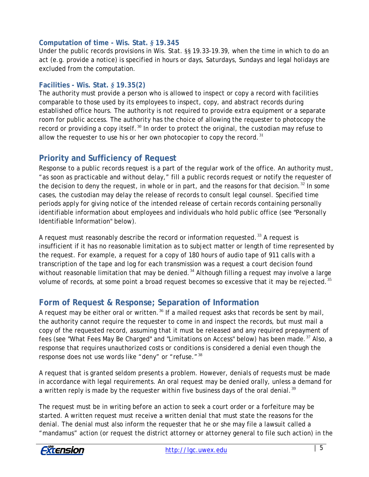#### **Computation of time - Wis. Stat.** *§* **19.345**

Under the public records provisions in Wis. Stat. §§ 19.33-19.39, when the time in which to do an act (e.g. provide a notice) is specified in hours or days, Saturdays, Sundays and legal holidays are excluded from the computation.

#### **Facilities - Wis. Stat.** *§* **19.35(2)**

The authority must provide a person who is allowed to inspect or copy a record with facilities comparable to those used by its employees to inspect, copy, and abstract records during established office hours. The authority is not required to provide extra equipment or a separate room for public access. The authority has the choice of allowing the requester to photocopy the record or providing a copy itself.<sup>[30](#page-16-28)</sup> In order to protect the original, the custodian may refuse to allow the requester to use his or her own photocopier to copy the record.  $31$ 

## **Priority and Sufficiency of Request**

Response to a public records request is a part of the regular work of the office. An authority must, "as soon as practicable and without delay," fill a public records request or notify the requester of the decision to deny the request, in whole or in part, and the reasons for that decision.<sup>[32](#page-16-30)</sup> In some cases, the custodian may delay the release of records to consult legal counsel. Specified time periods apply for giving notice of the intended release of certain records containing personally identifiable information about employees and individuals who hold public office (see "Personally Identifiable Information" below).

A request must reasonably describe the record or information requested.<sup>[33](#page-16-31)</sup> A request is insufficient if it has no reasonable limitation as to subject matter or length of time represented by the request. For example, a request for a copy of 180 hours of audio tape of 911 calls with a transcription of the tape and log for each transmission was a request a court decision found without reasonable limitation that may be denied.<sup>[34](#page-16-32)</sup> Although filling a request may involve a large volume of records, at some point a broad request becomes so excessive that it may be rejected.<sup>[35](#page-16-33)</sup>

## **Form of Request & Response; Separation of Information**

A request may be either oral or written.<sup>[36](#page-17-0)</sup> If a mailed request asks that records be sent by mail, the authority cannot require the requester to come in and inspect the records, but must mail a copy of the requested record, assuming that it must be released and any required prepayment of fees (see "What Fees May Be Charged" and "Limitations on Access" below) has been made.<sup>[37](#page-17-1)</sup> Also, a response that requires unauthorized costs or conditions is considered a denial even though the response does not use words like "deny" or "refuse."<sup>[38](#page-17-2)</sup>

A request that is granted seldom presents a problem. However, denials of requests must be made in accordance with legal requirements. An oral request may be denied orally, unless a demand for a written reply is made by the requester within five business days of the oral denial.<sup>[39](#page-17-3)</sup>

The request must be in writing before an action to seek a court order or a forfeiture may be started. A written request must receive a written denial that must state the reasons for the denial. The denial must also inform the requester that he or she may file a lawsuit called a "mandamus" action (or request the district attorney or attorney general to file such action) in the

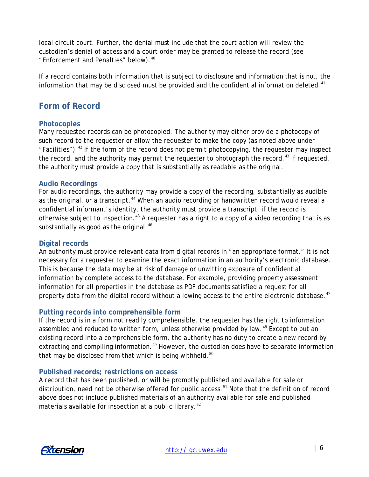local circuit court. Further, the denial must include that the court action will review the custodian's denial of access and a court order may be granted to release the record (see "Enforcement and Penalties" below).<sup>[40](#page-17-4)</sup>

If a record contains both information that is subject to disclosure and information that is not, the information that may be disclosed must be provided and the confidential information deleted.<sup>[41](#page-17-5)</sup>

## **Form of Record**

#### **Photocopies**

Many requested records can be photocopied. The authority may either provide a photocopy of such record to the requester or allow the requester to make the copy (as noted above under "Facilities").<sup>[42](#page-17-6)</sup> If the form of the record does not permit photocopying, the requester may inspect the record, and the authority may permit the requester to photograph the record.<sup>[43](#page-17-7)</sup> If requested, the authority must provide a copy that is substantially as readable as the original.

#### **Audio Recordings**

For audio recordings, the authority may provide a copy of the recording, substantially as audible as the original, or a transcript.<sup>[44](#page-17-8)</sup> When an audio recording or handwritten record would reveal a confidential informant's identity, the authority must provide a transcript, if the record is otherwise subject to inspection.<sup>[45](#page-17-9)</sup> A requester has a right to a copy of a video recording that is as substantially as good as the original. $46$ 

#### **Digital records**

An authority must provide relevant data from digital records in "an appropriate format." It is not necessary for a requester to examine the exact information in an authority's electronic database. This is because the data may be at risk of damage or unwitting exposure of confidential information by complete access to the database. For example, providing property assessment information for all properties in the database as PDF documents satisfied a request for all property data from the digital record without allowing access to the entire electronic database.<sup>[47](#page-17-11)</sup>

#### **Putting records into comprehensible form**

If the record is in a form not readily comprehensible, the requester has the right to information assembled and reduced to written form, unless otherwise provided by law.<sup>[48](#page-17-12)</sup> Except to put an existing record into a comprehensible form, the authority has no duty to create a new record by extracting and compiling information.<sup>[49](#page-17-13)</sup> However, the custodian does have to separate information that may be disclosed from that which is being withheld.<sup>[50](#page-17-14)</sup>

#### **Published records; restrictions on access**

A record that has been published, or will be promptly published and available for sale or distribution, need not be otherwise offered for public access.<sup>[51](#page-17-15)</sup> Note that the definition of record above does not include published materials of an authority available for sale and published materials available for inspection at a public library. $52$ 

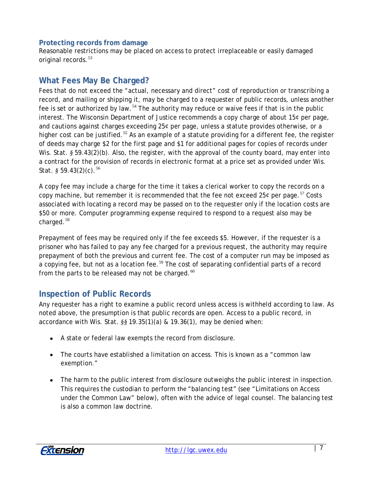#### **Protecting records from damage**

Reasonable restrictions may be placed on access to protect irreplaceable or easily damaged original records.<sup>[53](#page-17-17)</sup>

### **What Fees May Be Charged?**

Fees that do not exceed the "actual, necessary and direct" cost of reproduction or transcribing a record, and mailing or shipping it, may be charged to a requester of public records, unless another fee is set or authorized by law.<sup>[54](#page-17-18)</sup> The authority may reduce or waive fees if that is in the public interest. The Wisconsin Department of Justice recommends a copy charge of about 15 $\varphi$  per page, and cautions against charges exceeding  $25¢$  per page, unless a statute provides otherwise, or a higher cost can be justified.<sup>[55](#page-17-19)</sup> As an example of a statute providing for a different fee, the register of deeds may charge \$2 for the first page and \$1 for additional pages for copies of records under Wis. Stat. § 59.43(2)(b). Also, the register, with the approval of the county board, may enter into a contract for the provision of records in electronic format at a price set as provided under Wis. Stat. *§* 59.43(2)(c).*5F* 56

A copy fee may include a charge for the time it takes a clerical worker to copy the records on a copy machine, but remember it is recommended that the fee not exceed  $25¢$  per page.<sup>57</sup> Costs associated with locating a record may be passed on to the requester only if the location costs are \$50 or more. Computer programming expense required to respond to a request also may be charged.<sup>58</sup>

Prepayment of fees may be required only if the fee exceeds \$5. However, if the requester is a prisoner who has failed to pay any fee charged for a previous request, the authority may require prepayment of both the previous and current fee. The cost of a computer run may be imposed as a copying fee, but not as a location fee.<sup>[59](#page-17-20)</sup> The cost of separating confidential parts of a record from the parts to be released may not be charged. $60$ 

## **Inspection of Public Records**

Any requester has a right to examine a public record unless access is withheld according to law. As noted above, the presumption is that public records are open. Access to a public record, in accordance with Wis. Stat. *§§* 19.35(1)(a) & 19.36(1), may be denied when:

- A state or federal law exempts the record from disclosure.
- The courts have established a limitation on access. This is known as a "common law exemption."
- The harm to the public interest from disclosure outweighs the public interest in inspection. This requires the custodian to perform the "balancing test" (see "Limitations on Access under the Common Law" below), often with the advice of legal counsel. The balancing test is also a common law doctrine.

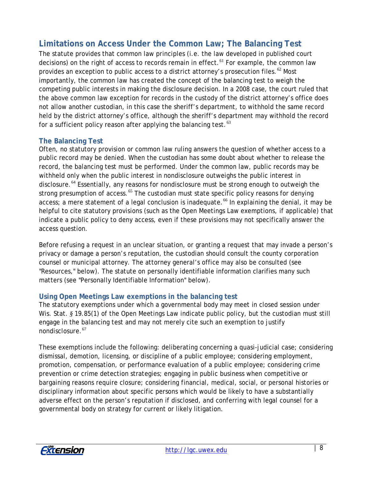## **Limitations on Access Under the Common Law; The Balancing Test**

The statute provides that common law principles (i.e. the law developed in published court decisions) on the right of access to records remain in effect.<sup>[61](#page-17-22)</sup> For example, the common law provides an exception to public access to a district attorney's prosecution files.  $^{62}$  $^{62}$  $^{62}$  Most importantly, the common law has created the concept of the balancing test to weigh the competing public interests in making the disclosure decision. In a 2008 case, the court ruled that the above common law exception for records in the custody of the district attorney's office does not allow another custodian, in this case the sheriff's department, to withhold the same record held by the district attorney's office, although the sheriff's department may withhold the record for a sufficient policy reason after applying the balancing test. $63$ 

#### **The Balancing Test**

Often, no statutory provision or common law ruling answers the question of whether access to a public record may be denied. When the custodian has some doubt about whether to release the record, the balancing test must be performed. Under the common law, public records may be withheld only when the public interest in nondisclosure outweighs the public interest in disclosure.<sup>[64](#page-17-25)</sup> Essentially, any reasons for nondisclosure must be strong enough to outweigh the strong presumption of access.<sup>[65](#page-17-26)</sup> The custodian must state specific policy reasons for denying access; a mere statement of a legal conclusion is inadequate.<sup>[66](#page-17-27)</sup> In explaining the denial, it may be helpful to cite statutory provisions (such as the Open Meetings Law exemptions, if applicable) that indicate a public policy to deny access, even if these provisions may not specifically answer the access question.

Before refusing a request in an unclear situation, or granting a request that may invade a person's privacy or damage a person's reputation, the custodian should consult the county corporation counsel or municipal attorney. The attorney general's office may also be consulted (see "Resources," below). The statute on personally identifiable information clarifies many such matters (see "Personally Identifiable Information" below).

#### **Using Open Meetings Law exemptions in the balancing test**

The statutory exemptions under which a governmental body may meet in closed session under Wis. Stat. § 19.85(1) of the Open Meetings Law indicate public policy, but the custodian must still engage in the balancing test and may not merely cite such an exemption to justify nondisclosure.<sup>[67](#page-17-28)</sup>

These exemptions include the following: deliberating concerning a quasi-judicial case; considering dismissal, demotion, licensing, or discipline of a public employee; considering employment, promotion, compensation, or performance evaluation of a public employee; considering crime prevention or crime detection strategies; engaging in public business when competitive or bargaining reasons require closure; considering financial, medical, social, or personal histories or disciplinary information about specific persons which would be likely to have a substantially adverse effect on the person's reputation if disclosed, and conferring with legal counsel for a governmental body on strategy for current or likely litigation.

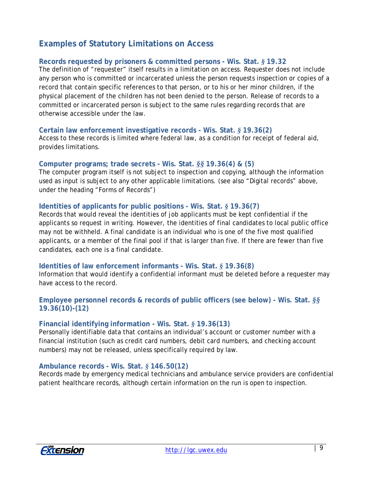## **Examples of Statutory Limitations on Access**

#### **Records requested by prisoners & committed persons - Wis. Stat.** *§* **19.32**

The definition of "requester" itself results in a limitation on access. Requester does not include any person who is committed or incarcerated unless the person requests inspection or copies of a record that contain specific references to that person, or to his or her minor children, if the physical placement of the children has not been denied to the person. Release of records to a committed or incarcerated person is subject to the same rules regarding records that are otherwise accessible under the law.

#### **Certain law enforcement investigative records - Wis. Stat.** *§* **19.36(2)**

Access to these records is limited where federal law, as a condition for receipt of federal aid, provides limitations.

#### **Computer programs; trade secrets - Wis. Stat.** *§§* **19.36(4) & (5)**

The computer program itself is not subject to inspection and copying, although the information used as input is subject to any other applicable limitations. (see also "Digital records" above, under the heading "Forms of Records")

#### **Identities of applicants for public positions - Wis. Stat.** *§* **19.36(7)**

Records that would reveal the identities of job applicants must be kept confidential if the applicants so request in writing. However, the identities of final candidates to local public office may not be withheld. A final candidate is an individual who is one of the five most qualified applicants, or a member of the final pool if that is larger than five. If there are fewer than five candidates, each one is a final candidate.

#### **Identities of law enforcement informants - Wis. Stat.** *§* **19.36(8)**

Information that would identify a confidential informant must be deleted before a requester may have access to the record.

#### **Employee personnel records & records of public officers (see below) - Wis. Stat.** *§§* **19.36(10)-(12)**

#### **Financial identifying information - Wis. Stat.** *§* **19.36(13)**

Personally identifiable data that contains an individual's account or customer number with a financial institution (such as credit card numbers, debit card numbers, and checking account numbers) may not be released, unless specifically required by law.

#### **Ambulance records - Wis. Stat.** *§* **146.50(12)**

Records made by emergency medical technicians and ambulance service providers are confidential patient healthcare records, although certain information on the run is open to inspection.

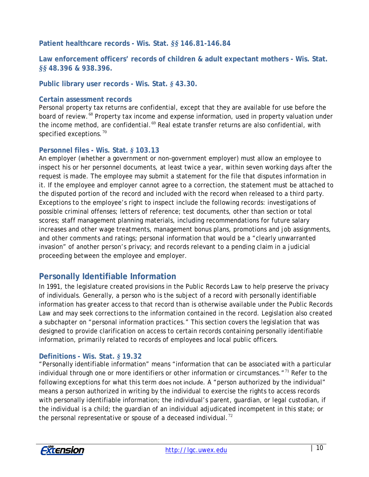**Patient healthcare records - Wis. Stat.** *§§* **146.81-146.84**

**Law enforcement officers' records of children & adult expectant mothers - Wis. Stat.** *§§* **48.396 & 938.396.** 

**Public library user records - Wis. Stat.** *§* **43.30.** 

#### **Certain assessment records**

Personal property tax returns are confidential, except that they are available for use before the board of review.<sup>[68](#page-17-29)</sup> Property tax income and expense information, used in property valuation under the income method, are confidential.<sup>[69](#page-17-30)</sup> Real estate transfer returns are also confidential, with specified exceptions.  $70<sup>70</sup>$  $70<sup>70</sup>$ 

#### **Personnel files - Wis. Stat.** *§* **103.13**

An employer (whether a government or non-government employer) must allow an employee to inspect his or her personnel documents, at least twice a year, within seven working days after the request is made. The employee may submit a statement for the file that disputes information in it. If the employee and employer cannot agree to a correction, the statement must be attached to the disputed portion of the record and included with the record when released to a third party. Exceptions to the employee's right to inspect include the following records: investigations of possible criminal offenses; letters of reference; test documents, other than section or total scores; staff management planning materials, including recommendations for future salary increases and other wage treatments, management bonus plans, promotions and job assignments, and other comments and ratings; personal information that would be a "clearly unwarranted invasion" of another person's privacy; and records relevant to a pending claim in a judicial proceeding between the employee and employer.

## **Personally Identifiable Information**

In 1991, the legislature created provisions in the Public Records Law to help preserve the privacy of individuals. Generally, a person who is the subject of a record with personally identifiable information has greater access to that record than is otherwise available under the Public Records Law and may seek corrections to the information contained in the record. Legislation also created a subchapter on "personal information practices." This section covers the legislation that was designed to provide clarification on access to certain records containing personally identifiable information, primarily related to records of employees and local public officers.

#### **Definitions - Wis. Stat.** *§* **19.32**

"Personally identifiable information" means "information that can be associated with a particular individual through one or more identifiers or other information or circumstances."<sup>[71](#page-17-32)</sup> Refer to the following exceptions for what this term does not include. A "person authorized by the individual" means a person authorized in writing by the individual to exercise the rights to access records with personally identifiable information; the individual's parent, guardian, or legal custodian, if the individual is a child; the guardian of an individual adjudicated incompetent in this state; or the personal representative or spouse of a deceased individual.<sup>[72](#page-17-33)</sup>

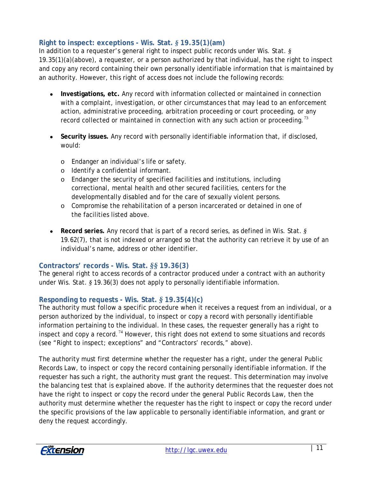#### **Right to inspect: exceptions - Wis. Stat.** *§* **19.35(1)(am)**

In addition to a requester's general right to inspect public records under Wis. Stat. *§*  19.35(1)(a)(above), a requester, or a person authorized by that individual, has the right to inspect and copy any record containing their own personally identifiable information that is maintained by an authority. However, this right of access does *not* include the following records:

- **Investigations, etc.** Any record with information collected or maintained in connection with a complaint, investigation, or other circumstances that may lead to an enforcement action, administrative proceeding, arbitration proceeding or court proceeding, or any record collected or maintained in connection with any such action or proceeding.<sup>[73](#page-17-34)</sup>
- **Security issues.** Any record with personally identifiable information that, if disclosed, would:
	- o Endanger an individual's life or safety.
	- o Identify a confidential informant.
	- o Endanger the security of specified facilities and institutions, including correctional, mental health and other secured facilities, centers for the developmentally disabled and for the care of sexually violent persons.
	- o Compromise the rehabilitation of a person incarcerated or detained in one of the facilities listed above.
- **Record series.** Any record that is part of a record series, as defined in Wis. Stat. *§*  19.62(7), that is not indexed or arranged so that the authority can retrieve it by use of an individual's name, address or other identifier.

#### **Contractors' records - Wis. Stat.** *§§* **19.36(3)**

The general right to access records of a contractor produced under a contract with an authority under Wis. Stat. *§* 19.36(3) does not apply to personally identifiable information.

#### **Responding to requests - Wis. Stat.** *§* **19.35(4)(c)**

The authority must follow a specific procedure when it receives a request from an individual, or a person authorized by the individual, to inspect or copy a record with personally identifiable information pertaining to the individual. In these cases, the requester generally has a right to inspect and copy a record.<sup>[74](#page-17-35)</sup> However, this right does not extend to some situations and records (see "Right to inspect; exceptions" and "Contractors' records," above).

The authority must first determine whether the requester has a right, under the general Public Records Law, to inspect or copy the record containing personally identifiable information. If the requester has such a right, the authority must grant the request. This determination may involve the balancing test that is explained above. If the authority determines that the requester does not have the right to inspect or copy the record under the general Public Records Law, then the authority must determine whether the requester has the right to inspect or copy the record under the specific provisions of the law applicable to personally identifiable information, and grant or deny the request accordingly.

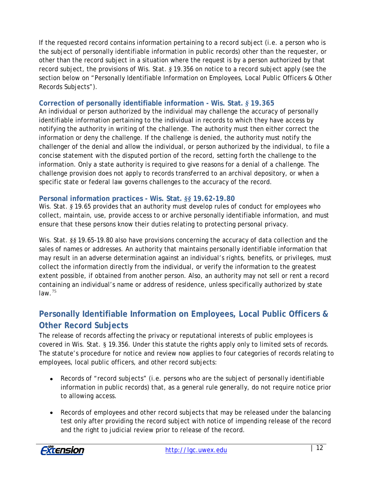If the requested record contains information pertaining to a record subject (i.e. a person who is the subject of personally identifiable information in public records) other than the requester, or other than the record subject in a situation where the request is by a person authorized by that record subject, the provisions of Wis. Stat. *§* 19.356 on notice to a record subject apply (see the section below on "Personally Identifiable Information on Employees, Local Public Officers & Other Records Subjects").

#### **Correction of personally identifiable information - Wis. Stat.** *§* **19.365**

An individual or person authorized by the individual may challenge the accuracy of personally identifiable information pertaining to the individual in records to which they have access by notifying the authority in writing of the challenge. The authority must then either correct the information or deny the challenge. If the challenge is denied, the authority must notify the challenger of the denial and allow the individual, or person authorized by the individual, to file a concise statement with the disputed portion of the record, setting forth the challenge to the information. Only a state authority is required to give reasons for a denial of a challenge. The challenge provision does not apply to records transferred to an archival depository, or when a specific state or federal law governs challenges to the accuracy of the record.

#### **Personal information practices - Wis. Stat.** *§§* **19.62-19.80**

Wis. Stat. § 19.65 provides that an authority must develop rules of conduct for employees who collect, maintain, use, provide access to or archive personally identifiable information, and must ensure that these persons know their duties relating to protecting personal privacy.

Wis. Stat. §§ 19.65-19.80 also have provisions concerning the accuracy of data collection and the sales of names or addresses. An authority that maintains personally identifiable information that may result in an adverse determination against an individual's rights, benefits, or privileges, must collect the information directly from the individual, or verify the information to the greatest extent possible, if obtained from another person. Also, an authority may not sell or rent a record containing an individual's name or address of residence, unless specifically authorized by state law. $75$ 

## **Personally Identifiable Information on Employees, Local Public Officers & Other Record Subjects**

The release of records affecting the privacy or reputational interests of public employees is covered in Wis. Stat. § 19.356. Under this statute the rights apply only to limited sets of records. The statute's procedure for notice and review now applies to four categories of records relating to employees, local public officers, and other record subjects:

- Records of "record subjects" (i.e. persons who are the subject of personally identifiable information in public records) that, as a general rule generally, do not require notice prior to allowing access.
- Records of employees and other record subjects that may be released under the balancing test only after providing the record subject with notice of impending release of the record and the right to judicial review prior to release of the record.

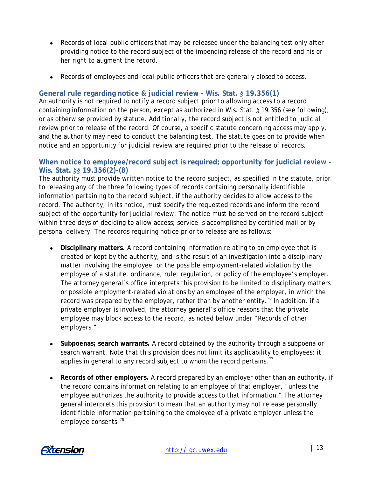- Records of local public officers that may be released under the balancing test only after providing notice to the record subject of the impending release of the record and his or her right to augment the record.
- Records of employees and local public officers that are generally closed to access.

#### **General rule regarding notice & judicial review - Wis. Stat.** *§* **19.356(1)**

An authority is not required to notify a record subject prior to allowing access to a record containing information on the person, except as authorized in Wis. Stat. *§* 19.356 (see following), or as otherwise provided by statute. Additionally, the record subject is not entitled to judicial review prior to release of the record. Of course, a specific statute concerning access may apply, and the authority may need to conduct the balancing test. The statute goes on to provide when notice and an opportunity for judicial review are required prior to the release of records.

#### **When notice to employee/record subject is required; opportunity for judicial review - Wis. Stat.** *§§* **19.356(2)-(8)**

The authority must provide written notice to the record subject, as specified in the statute, prior to releasing any of the three following types of records containing personally identifiable information pertaining to the record subject, if the authority decides to allow access to the record. The authority, in its notice, must specify the requested records and inform the record subject of the opportunity for judicial review. The notice must be served on the record subject within three days of deciding to allow access; service is accomplished by certified mail or by personal delivery. The records requiring notice prior to release are as follows:

- **Disciplinary matters.** A record containing information relating to an employee that is created or kept by the authority, and is the result of an investigation into a disciplinary matter involving the employee, or the possible employment-related violation by the employee of a statute, ordinance, rule, regulation, or policy of the employee's employer. The attorney general's office interprets this provision to be limited to disciplinary matters or possible employment-related violations by an employee of the employer, in which the record was prepared by the employer, rather than by another entity.<sup>[76](#page-17-37)</sup> In addition, if a private employer is involved, the attorney general's office reasons that the private employee may block access to the record, as noted below under "Records of other employers."
- **Subpoenas; search warrants.** A record obtained by the authority through a subpoena or search warrant. Note that this provision does not limit its applicability to employees; it applies in general to any record subject to whom the record pertains.<sup>[77](#page-17-38)</sup>
- **Records of other employers.** A record prepared by an employer other than an authority, if the record contains information relating to an employee of that employer, "unless the employee authorizes the authority to provide access to that information." The attorney general interprets this provision to mean that an authority may not release personally identifiable information pertaining to the employee of a private employer unless the employee consents.<sup>[78](#page-17-39)</sup>

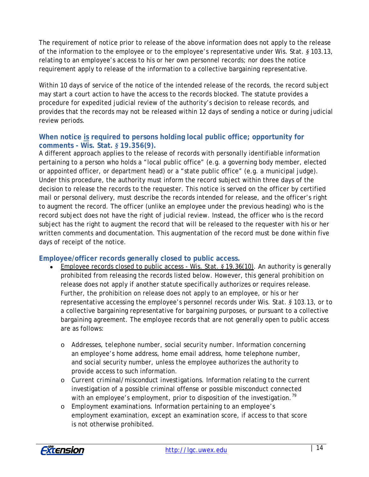The requirement of notice prior to release of the above information does not apply to the release of the information to the employee or to the employee's representative under Wis. Stat. *§* 103.13, relating to an employee's access to his or her own personnel records; nor does the notice requirement apply to release of the information to a collective bargaining representative.

Within 10 days of service of the notice of the intended release of the records, the record subject may start a court action to have the access to the records blocked. The statute provides a procedure for expedited judicial review of the authority's decision to release records, and provides that the records may not be released within 12 days of sending a notice or during judicial review periods.

#### **When notice is required to persons holding local public office; opportunity for comments - Wis. Stat.** *§* **19.356(9).**

A different approach applies to the release of records with personally identifiable information pertaining to a person who holds a "local public office" (e.g. a governing body member, elected or appointed officer, or department head) or a "state public office" (e.g. a municipal judge). Under this procedure, the authority must inform the record subject within three days of the decision to release the records to the requester. This notice is served on the officer by certified mail or personal delivery, must describe the records intended for release, and the officer's right to augment the record. The officer (unlike an employee under the previous heading) who is the record subject does *not* have the right of judicial review. Instead, the officer who is the record subject has the right to augment the record that will be released to the requester with his or her written comments and documentation. This augmentation of the record must be done within five days of receipt of the notice.

#### **Employee/officer records generally closed to public access.**

- Employee records closed to public access Wis. Stat. *§* 19.36(10). An authority is generally prohibited from releasing the records listed below. However, this general prohibition on release does not apply if another statute specifically authorizes or requires release. Further, the prohibition on release does not apply to an employee, or his or her representative accessing the employee's personnel records under Wis. Stat. *§* 103.13, or to a collective bargaining representative for bargaining purposes, or pursuant to a collective bargaining agreement. The employee records that are not generally open to public access are as follows:
	- o *Addresses, telephone number, social security number.* Information concerning an employee's home address, home email address, home telephone number, and social security number, unless the employee authorizes the authority to provide access to such information.
	- o *Current criminal/misconduct investigations.* Information relating to the current investigation of a possible criminal offense or possible misconduct connected with an employee's employment, prior to disposition of the investigation.<sup>[79](#page-18-0)</sup>
	- o *Employment examinations.* Information pertaining to an employee's employment examination, except an examination score, if access to that score is not otherwise prohibited.

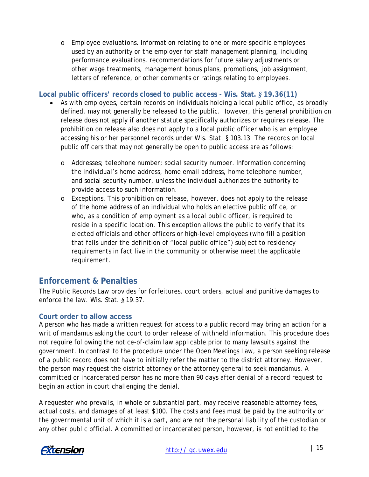o *Employee evaluations.* Information relating to one or more specific employees used by an authority or the employer for staff management planning, including performance evaluations, recommendations for future salary adjustments or other wage treatments, management bonus plans, promotions, job assignment, letters of reference, or other comments or ratings relating to employees.

#### **Local public officers' records closed to public access - Wis. Stat.** *§* **19.36(11)**

- As with employees, certain records on individuals holding a local public office, as broadly defined, may not generally be released to the public. However, this general prohibition on release does not apply if another statute specifically authorizes or requires release. The prohibition on release also does not apply to a local public officer who is an employee accessing his or her personnel records under Wis. Stat. § 103.13. The records on local public officers that may not generally be open to public access are as follows:
	- o *Addresses; telephone number; social security number.* Information concerning the individual's home address, home email address, home telephone number, and social security number, unless the individual authorizes the authority to provide access to such information.
	- o *Exceptions.* This prohibition on release, however, does not apply to the release of the home address of an individual who holds an elective public office, or who, as a condition of employment as a local public officer, is required to reside in a specific location. This exception allows the public to verify that its elected officials and other officers or high-level employees (who fill a position that falls under the definition of "local public office") subject to residency requirements in fact live in the community or otherwise meet the applicable requirement.

## **Enforcement & Penalties**

The Public Records Law provides for forfeitures, court orders, actual and punitive damages to enforce the law. Wis. Stat. *§* 19.37.

#### **Court order to allow access**

A person who has made a written request for access to a public record may bring an action for a writ of mandamus asking the court to order release of withheld information. This procedure does not require following the notice-of-claim law applicable prior to many lawsuits against the government. In contrast to the procedure under the Open Meetings Law, a person seeking release of a public record does *not* have to initially refer the matter to the district attorney. However, the person may request the district attorney or the attorney general to seek mandamus. A committed or incarcerated person has no more than 90 days after denial of a record request to begin an action in court challenging the denial.

A requester who prevails, in whole or substantial part, may receive reasonable attorney fees, actual costs, and damages of at least \$100. The costs and fees must be paid by the authority or the governmental unit of which it is a part, and are not the personal liability of the custodian or any other public official. A committed or incarcerated person, however, is not entitled to the

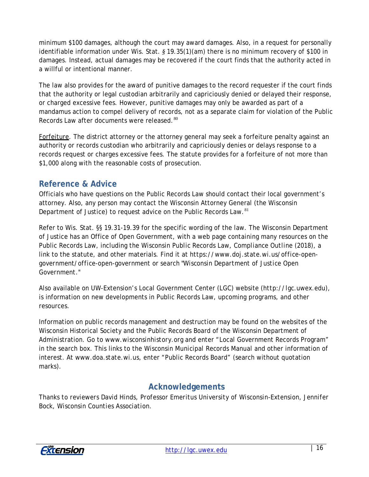minimum \$100 damages, although the court may award damages. Also, in a request for personally identifiable information under Wis. Stat. *§* 19.35(1)(am) there is no minimum recovery of \$100 in damages. Instead, actual damages may be recovered if the court finds that the authority acted in a willful or intentional manner.

The law also provides for the award of punitive damages to the record requester if the court finds that the authority or legal custodian arbitrarily and capriciously denied or delayed their response, or charged excessive fees. However, punitive damages may only be awarded as part of a mandamus action to compel delivery of records, not as a separate claim for violation of the Public Records Law after documents were released. [80](#page-18-1)

Forfeiture. The district attorney or the attorney general may seek a forfeiture penalty against an authority or records custodian who arbitrarily and capriciously denies or delays response to a records request or charges excessive fees. The statute provides for a forfeiture of not more than \$1,000 along with the reasonable costs of prosecution.

## **Reference & Advice**

Officials who have questions on the Public Records Law should contact their local government's attorney. Also, any person may contact the Wisconsin Attorney General (the Wisconsin Department of Justice) to request advice on the Public Records Law.<sup>[81](#page-18-2)</sup>

Refer to Wis. Stat. §§ 19.31-19.39 for the specific wording of the law. The Wisconsin Department of Justice has an Office of Open Government, with a web page containing many resources on the Public Records Law, including the *Wisconsin Public Records Law, Compliance Outline (2018),* a link to the statute, and other materials. Find it at *https://www.doj.state.wi.us/office-opengovernment/office-open-government* or search *"Wisconsin Department of Justice Open Government."*

Also available on UW-Extension's Local Government Center (LGC) website (*http://lgc.uwex.edu*), is information on new developments in Public Records Law, upcoming programs, and other resources.

Information on public records management and destruction may be found on the websites of the Wisconsin Historical Society and the Public Records Board of the Wisconsin Department of Administration. Go to *www.wisconsinhistory.org* and enter "Local Government Records Program" in the search box. This links to the *Wisconsin Municipal Records Manual* and other information of interest. At *www.doa.state.wi.us,* enter "Public Records Board" (search without quotation marks).

## **Acknowledgements**

*Thanks to reviewers David Hinds, Professor Emeritus University of Wisconsin-Extension, Jennifer Bock, Wisconsin Counties Association.*

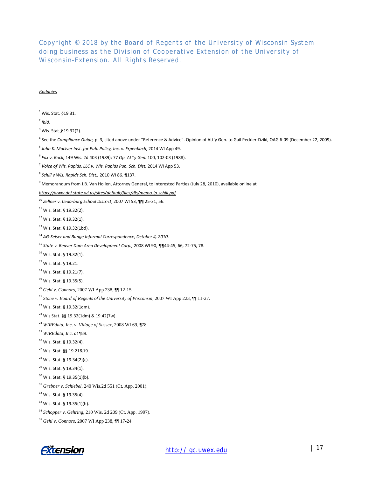*Copyright © 2018 by the Board of Regents of the University of Wisconsin System doing business as the Division of Cooperative Extension of the University of Wisconsin-Extension. All Rights Reserved.*

#### *Endnotes*

|  | $^{1}$ Wis. Stat. §19.31. |
|--|---------------------------|
|--|---------------------------|

<span id="page-16-0"></span> $<sup>2</sup>$  *Ibid.*</sup>

-

<span id="page-16-1"></span>Wis. Stat.  $$$  19.32(2).

<span id="page-16-2"></span>See the *Compliance Guide,* p. 3, cited above under "Reference & Advice". Opinion of Att'y Gen. to Gail Peckler-Dziki, OAG 6-09 (December 22, 2009).

<span id="page-16-9"></span>Wis. Stat. § 19.32(2).

<span id="page-16-11"></span><sup>13</sup> Wis. Stat. § 19.32(1bd).

- <span id="page-16-14"></span>Wis. Stat. § 19.32(1).
- <span id="page-16-15"></span>Wis. Stat. § 19.21.
- <span id="page-16-16"></span>Wis. Stat. § 19.21(7).
- <span id="page-16-17"></span><sup>19</sup> Wis. Stat. § 19.35(5).
- <span id="page-16-18"></span>*Gehl v. Connors*, 2007 WI App 238, ¶¶ 12-15.
- <span id="page-16-19"></span>*Stone v. Board of Regents of the University of Wisconsin*, 2007 WI App 223, ¶¶ 11-27.
- <span id="page-16-20"></span>Wis. Stat. § 19.32(1dm).
- <span id="page-16-21"></span>Wis Stat. §§ 19.32(1dm) & 19.42(7w).
- <span id="page-16-22"></span>*WIREdata, Inc. v. Village of Sussex*, 2008 WI 69, ¶78.
- <span id="page-16-23"></span>*WIREdata, Inc. at* ¶89.
- <span id="page-16-24"></span>Wis. Stat. § 19.32(4).
- <span id="page-16-25"></span>Wis. Stat. §§ 19.21&19.
- <span id="page-16-26"></span>Wis. Stat. § 19.34(2)(c).
- <span id="page-16-27"></span><sup>29</sup> Wis. Stat. § 19.34(1).
- <span id="page-16-28"></span>Wis. Stat. § 19.35(1)(b).
- <span id="page-16-29"></span>*Grebner v. Schiebel*, 240 Wis.2d 551 (Ct. App. 2001).

<span id="page-16-30"></span>Wis. Stat. § 19.35(4).

<span id="page-16-33"></span><span id="page-16-32"></span>*Gehl v. Connors*, 2007 WI App 238, ¶¶ 17-24.



<span id="page-16-3"></span>*John K. MacIver Inst. for Pub. Policy, Inc. v. Erpenbach*, 2014 WI App 49.

<span id="page-16-4"></span>*Fox v. Bock*, 149 Wis. 2d 403 (1989); 77 *Op. Att'y Gen.* 100, 102-03 (1988).

<span id="page-16-5"></span>*Voice of Wis. Rapids, LLC v. Wis. Rapids Pub. Sch. Dist,* 2014 WI App 53.

<span id="page-16-6"></span>*Schill v Wis. Rapids Sch. Dist.,* 2010 WI 86. ¶137.

<span id="page-16-7"></span>Memorandum from J.B. Van Hollen, Attorney General, to Interested Parties (July 28, 2010), available online at

*https://www.doj.state.wi.us/sites/default/files/dls/memo-ip-schill.pdf*

<span id="page-16-8"></span>*Zellner v. Cedarburg School District*, 2007 WI 53, ¶¶ 25-31, 56.

<span id="page-16-10"></span>Wis. Stat. § 19.32(1).

<span id="page-16-12"></span>*AG-Seiser and Bunge Informal Correspondence, October 4, 2010.*

<span id="page-16-13"></span>*State v. Beaver Dam Area Development Corp.,* 2008 WI 90, ¶¶44-45, 66, 72-75, 78.

<span id="page-16-31"></span>Wis. Stat. § 19.35(1)(h).

*Schopper v. Gehring*, 210 Wis. 2d 209 (Ct. App. 1997).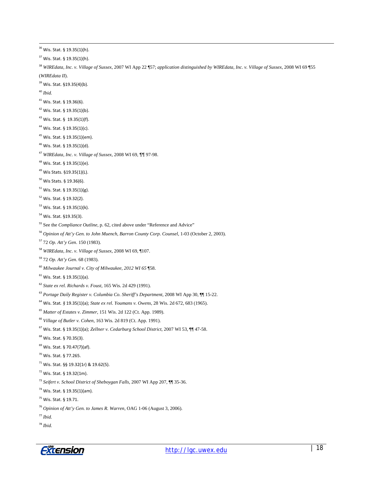<span id="page-17-19"></span><span id="page-17-18"></span><span id="page-17-17"></span><span id="page-17-16"></span><span id="page-17-15"></span><span id="page-17-14"></span><span id="page-17-13"></span><span id="page-17-12"></span><span id="page-17-11"></span><span id="page-17-10"></span><span id="page-17-9"></span><span id="page-17-8"></span><span id="page-17-7"></span><span id="page-17-6"></span><span id="page-17-5"></span><span id="page-17-4"></span><span id="page-17-3"></span><span id="page-17-2"></span><span id="page-17-1"></span><span id="page-17-0"></span><sup>36</sup> Wis. Stat. § 19.35(1)(h). Wis. Stat. § 19.35(1)(h). *WIREdata, Inc. v. Village of Sussex*, 2007 WI App 22 ¶57; *application distinguished by WIREdata, Inc. v. Village of Sussex*, 2008 WI 69 ¶55 (*WIREdata II*). <sup>39</sup> Wis. Stat. §19.35(4)(b). *Ibid.* Wis. Stat. § 19.36(6). Wis. Stat. § 19.35(1)(b). Wis. Stat. § 19.35(1)(f). Wis. Stat. § 19.35(1)(c). Wis. Stat. § 19.35(1)(em). Wis. Stat. § 19.35(1)(d). *WIREdata, Inc. v. Village of Sussex*, 2008 WI 69, ¶¶ 97-98. Wis. Stat. § 19.35(1)(e). Wis Stats. §19.35(1)(L). Wis Stats. § 19.36(6). Wis. Stat. § 19.35(1)(g). Wis. Stat. § 19.32(2). Wis. Stat. § 19.35(1)(k). Wis. Stat. §19.35(3). See the *Compliance Outline*, p. 62, cited above under "Reference and Advice" <sup>56</sup> Opinion of Att'y Gen. to John Muench, Barron County Corp. Counsel, 1-03 (October 2, 2003). 72 *Op. Att'y Gen*. 150 (1983). *WIREdata, Inc. v. Village of Sussex*, 2008 WI 69, ¶107. 72 *Op. Att'y Gen*. 68 (1983). *Milwaukee Journal v. City of Milwaukee, 2012 WI 65* ¶58. Wis. Stat. § 19.35(1)(a). *State ex rel. Richards v. Foust*, 165 Wis. 2d 429 (1991). *Portage Daily Register v. Columbia Co. Sheriff's Department*, 2008 WI App 30, ¶¶ 15-22. Wis. Stat*. §* 19.35(1)(a); *State ex rel. Youmans v. Owens*, 28 Wis. 2d 672, 683 (1965). *Matter of Estates v. Zimmer*, 151 Wis. 2d 122 (Ct. App. 1989). *Village of Butler v. Cohen*, 163 Wis. 2d 819 (Ct. App. 1991). Wis. Stat. § 19.35(1)(a); *Zellner v. Cedarburg School District*, 2007 WI 53, ¶¶ 47-58. Wis. Stat. § 70.35(3). Wis. Stat. § 70.47(7)(af). Wis. Stat. § 77.265. Wis. Stat. §§ 19.32(1r) & 19.62(5). Wis. Stat. § 19.32(1m). *Seifert v. School District of Sheboygan Falls*, 2007 WI App 207, ¶¶ 35-36. Wis. Stat. § 19.35(1)(am). Wis. Stat. § 19.71. *Opinion of Att'y Gen. to James R. Warren,* OAG 1-06 (August 3, 2006). *Ibid. Ibid.*

<span id="page-17-39"></span><span id="page-17-38"></span><span id="page-17-37"></span><span id="page-17-36"></span><span id="page-17-35"></span><span id="page-17-34"></span><span id="page-17-33"></span><span id="page-17-32"></span><span id="page-17-31"></span><span id="page-17-30"></span><span id="page-17-29"></span><span id="page-17-28"></span><span id="page-17-27"></span><span id="page-17-26"></span><span id="page-17-25"></span><span id="page-17-24"></span><span id="page-17-23"></span><span id="page-17-22"></span><span id="page-17-21"></span><span id="page-17-20"></span>*Extension* 

-